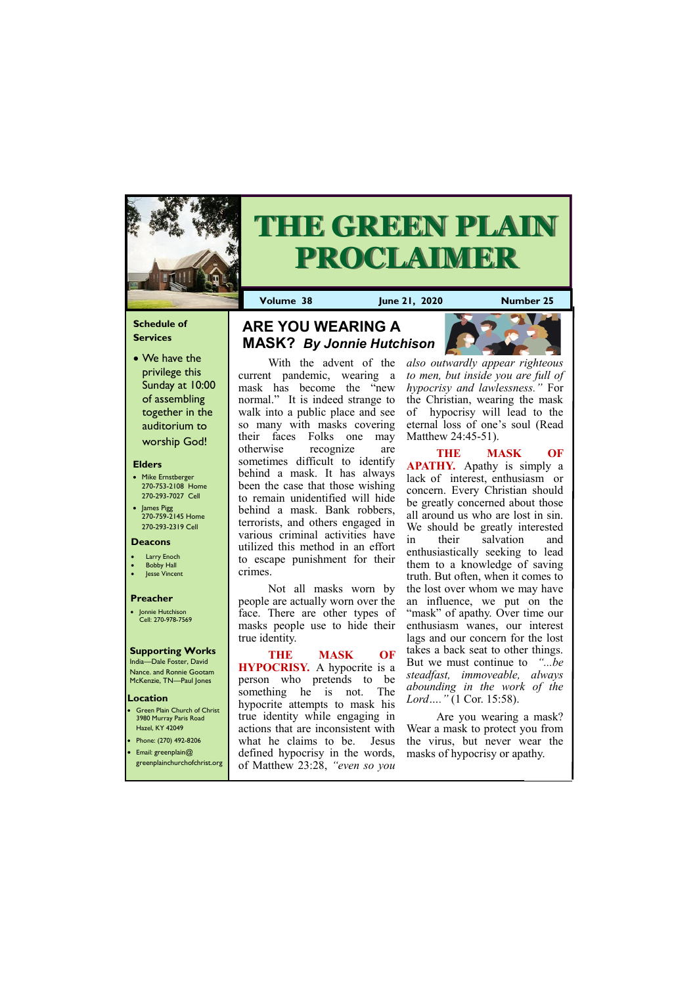## **Schedule of Services**

• We have the privilege this Sunday at 10:00 of assembling together in the auditorium to worship God!

## **Location Green Plain Church of Christ**

### **Elders**

- Mike Ernstberger 270-753-2108 Home 270-293-7027 Cell
- James Pigg 270-759-2145 Home 270-293-2319 Cell

3980 Murray Paris Road Hazel, KY 42049 • Phone: (270) 492-8206



# **THE GREEN PLAIN PROCLAIMER**

**Volume 38 June 21, 2020 Number 25**

#### **Deacons**

- **Larry Enoch**
- **Bobby Hall**
- Jesse Vincent

### **Preacher**

• Jonnie Hutchison Cell: 270-978-7569

## **Supporting Works**

India—Dale Foster, David Nance. and Ronnie Gootam McKenzie, TN—Paul Jones

With the advent of the current pandemic, wearing a mask has become the "new normal." It is indeed strange to walk into a public place and see so many with masks covering their faces Folks one may otherwise recognize are sometimes difficult to identify behind a mask. It has always been the case that those wishing to remain unidentified will hide behind a mask. Bank robbers, terrorists, and others engaged in various criminal activities have utilized this method in an effort to escape punishment for their crimes.

Not all masks worn by people are actually worn over the face. There are other types of masks people use to hide their true identity.

**THE MASK OF HYPOCRISY.** A hypocrite is a person who pretends to be something he is not. The hypocrite attempts to mask his true identity while engaging in actions that are inconsistent with what he claims to be. Jesus

|                         |                                                               | $\sim$ . The statistic to the statistic statistic statistic statistic statistic statistic statistic statistic statistic |
|-------------------------|---------------------------------------------------------------|-------------------------------------------------------------------------------------------------------------------------|
| • Email: greenplain $@$ | defined hypocrisy in the words, masks of hypocrisy or apathy. |                                                                                                                         |
|                         | greenplainchurchofchrist.org of Matthew 23:28, "even so you   |                                                                                                                         |

*also outwardly appear righteous to men, but inside you are full of hypocrisy and lawlessness."* For the Christian, wearing the mask of hypocrisy will lead to the eternal loss of one's soul (Read Matthew 24:45-51).

**THE MASK OF APATHY.** Apathy is simply a lack of interest, enthusiasm or concern. Every Christian should be greatly concerned about those all around us who are lost in sin. We should be greatly interested in their salvation and enthusiastically seeking to lead them to a knowledge of saving truth. But often, when it comes to the lost over whom we may have an influence, we put on the "mask" of apathy. Over time our enthusiasm wanes, our interest lags and our concern for the lost takes a back seat to other things. But we must continue to *"...be steadfast, immoveable, always abounding in the work of the Lord…."* (1 Cor. 15:58).

Are you wearing a mask? Wear a mask to protect you from the virus, but never wear the

# **ARE YOU WEARING A MASK?** *By Jonnie Hutchison*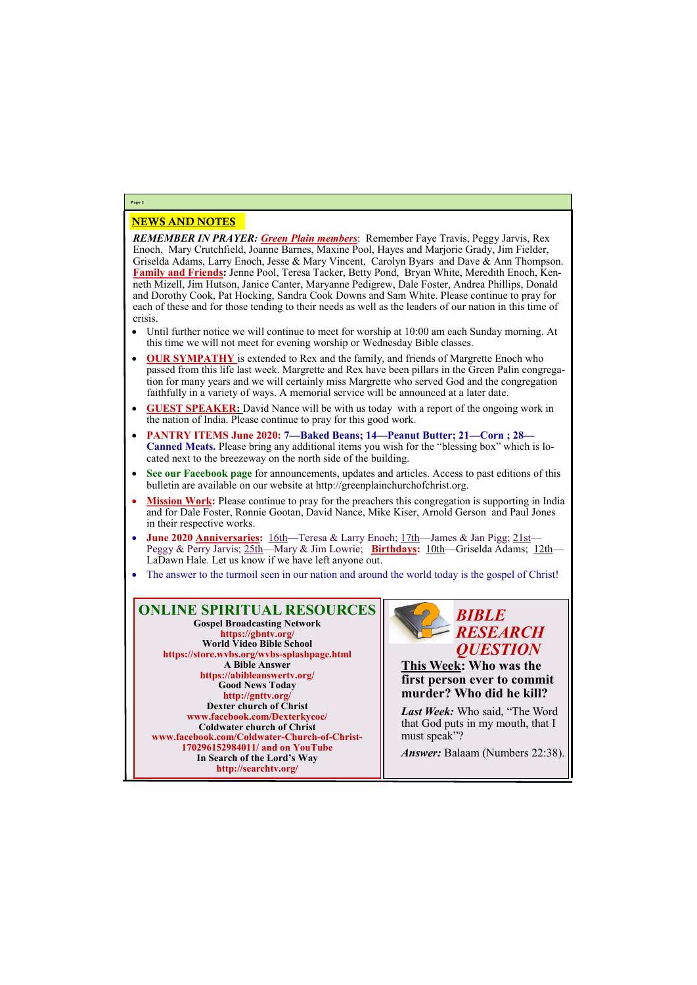## NEWS AND NOTES

*REMEMBER IN PRAYER: Green Plain members*: Remember Faye Travis, Peggy Jarvis, Rex Enoch, Mary Crutchfield, Joanne Barnes, Maxine Pool, Hayes and Marjorie Grady, Jim Fielder, Griselda Adams, Larry Enoch, Jesse & Mary Vincent, Carolyn Byars and Dave & Ann Thompson. **Family and Friends:** Jenne Pool, Teresa Tacker, Betty Pond, Bryan White, Meredith Enoch, Kenneth Mizell, Jim Hutson, Janice Canter, Maryanne Pedigrew, Dale Foster, Andrea Phillips, Donald and Dorothy Cook, Pat Hocking, Sandra Cook Downs and Sam White. Please continue to pray for each of these and for those tending to their needs as well as the leaders of our nation in this time of crisis.

- Until further notice we will continue to meet for worship at 10:00 am each Sunday morning. At this time we will not meet for evening worship or Wednesday Bible classes.
- **OUR SYMPATHY** is extended to Rex and the family, and friends of Margrette Enoch who passed from this life last week. Margrette and Rex have been pillars in the Green Palin congregation for many years and we will certainly miss Margrette who served God and the congregation faithfully in a variety of ways. A memorial service will be announced at a later date.
- **GUEST SPEAKER:** David Nance will be with us today with a report of the ongoing work in the nation of India. Please continue to pray for this good work.
- **PANTRY ITEMS June 2020: 7—Baked Beans; 14—Peanut Butter; 21—Corn ; 28— Canned Meats.** Please bring any additional items you wish for the "blessing box" which is located next to the breezeway on the north side of the building.
- **See our Facebook page** for announcements, updates and articles. Access to past editions of this bulletin are available on our website at http://greenplainchurchofchrist.org.
- **Mission Work:** Please continue to pray for the preachers this congregation is supporting in India and for Dale Foster, Ronnie Gootan, David Nance, Mike Kiser, Arnold Gerson and Paul Jones in their respective works.
- **June 2020 Anniversaries:** 16th**—**Teresa & Larry Enoch; 17th—James & Jan Pigg; 21st— Peggy & Perry Jarvis; 25th—Mary & Jim Lowrie; **Birthdays:** 10th—Griselda Adams; 12th— LaDawn Hale. Let us know if we have left anyone out.
- The answer to the turmoil seen in our nation and around the world today is the gospel of Christ!

# **Page 2**

**ONLINE SPIRITUAL RESOURCES Gospel Broadcasting Network https://gbntv.org/ World Video Bible School https://store.wvbs.org/wvbs-splashpage.html A Bible Answer https://abibleanswertv.org/ Good News Today http://gnttv.org/ Dexter church of Christ www.facebook.com/Dexterkycoc/ Coldwater church of Christ www.facebook.com/Coldwater-Church-of-Christ-**

> **170296152984011/ and on YouTube In Search of the Lord's Way http://searchtv.org/**



**This Week: Who was the first person ever to commit murder? Who did he kill?**

*Last Week:* Who said, "The Word that God puts in my mouth, that I must speak"?

*Answer:* Balaam (Numbers 22:38).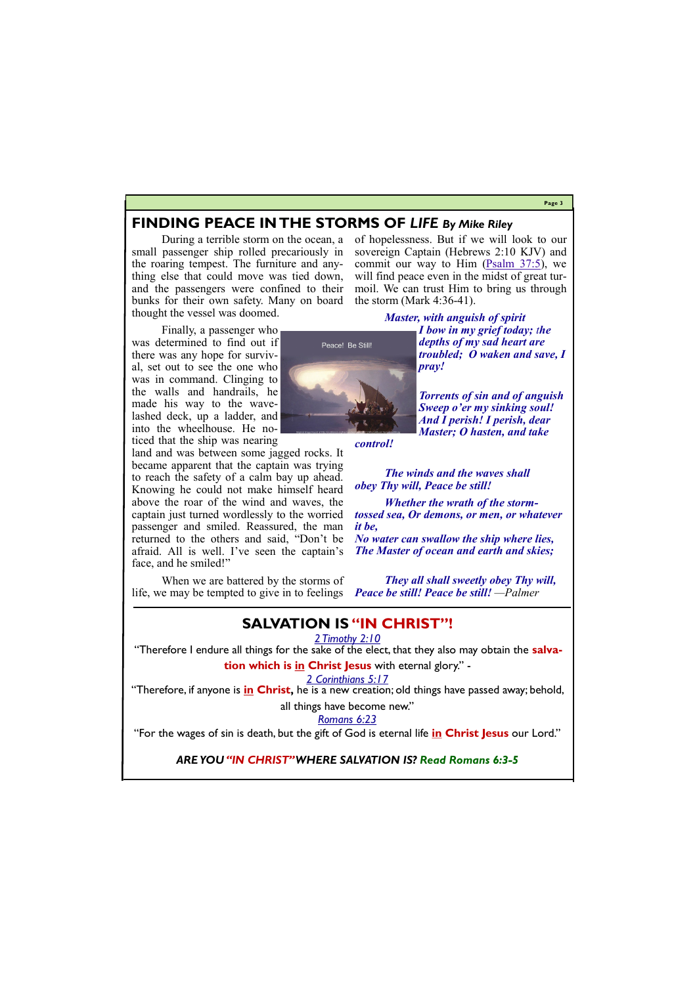#### **Page 3**

## **FINDING PEACE IN THE STORMS OF** *LIFE By Mike Riley*

During a terrible storm on the ocean, a small passenger ship rolled precariously in the roaring tempest. The furniture and anything else that could move was tied down, and the passengers were confined to their bunks for their own safety. Many on board thought the vessel was doomed.

Finally, a passenger who was determined to find out if there was any hope for survival, set out to see the one who was in command. Clinging to the walls and handrails, he made his way to the wavelashed deck, up a ladder, and into the wheelhouse. He noticed that the ship was nearing

land and was between some jagged rocks. It became apparent that the captain was trying to reach the safety of a calm bay up ahead. Knowing he could not make himself heard above the roar of the wind and waves, the captain just turned wordlessly to the worried passenger and smiled. Reassured, the man returned to the others and said, "Don't be afraid. All is well. I've seen the captain's face, and he smiled!"

of hopelessness. But if we will look to our sovereign Captain (Hebrews 2:10 KJV) and commit our way to Him [\(Psalm 37:5\),](http://www.biblegateway.net/cgi-bin/bible?language=english&version=ESV&x=0&y=0&passage=Psalm+37%3A5) we will find peace even in the midst of great turmoil. We can trust Him to bring us through the storm (Mark 4:36-41).

*Master, with anguish of spirit*

*I bow in my grief today; the depths of my sad heart are troubled; O waken and save, I pray!*

When we are battered by the storms of life, we may be tempted to give in to feelings *Peace be still! Peace be still! —Palmer*

*Torrents of sin and of anguish Sweep o'er my sinking soul! And I perish! I perish, dear Master; O hasten, and take* 

*control!*

Peace! Be Still!

*[The winds and the waves shall](http://www.youtube.com/watch?v=xpZ72SzdQno&feature=related) [obey Thy will, Peace be still!](http://www.youtube.com/watch?v=xpZ72SzdQno&feature=related)*

*Whether the wrath of the stormtossed sea, Or demons, or men, or whatever it be,*

*No water can swallow the ship where lies, The Master of ocean and earth and skies;*

*They all shall sweetly obey Thy will,*

# **SALVATION IS "IN CHRIST"!**

*2 Timothy 2:10*

"Therefore I endure all things for the sake of the elect, that they also may obtain the **salva-**

**tion which is in Christ Jesus** with eternal glory." -

*2 Corinthians 5:17*

"Therefore, if anyone is **in Christ,** he is a new creation; old things have passed away; behold,

all things have become new."

*Romans 6:23*

"For the wages of sin is death, but the gift of God is eternal life **in Christ Jesus** our Lord."

### *ARE YOU "IN CHRIST" WHERE SALVATION IS? Read Romans 6:3-5*